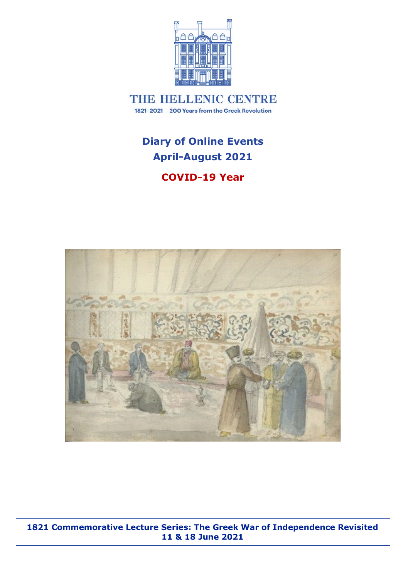

THE HELLENIC CENTRE 1821-2021 200 Years from the Greek Revolution

# **Diary of Online Events April-August 2021**

### **COVID-19 Year**



**1821 Commemorative Lecture Series: The Greek War of Independence Revisited 11 & 18 June 2021**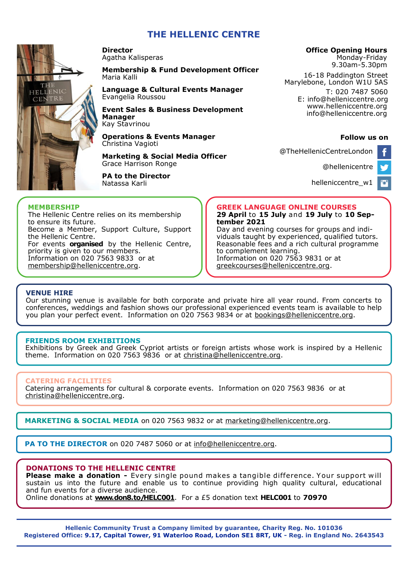### **THE HELLENIC CENTRE**



**Director**  Agatha Kalisperas

**Membership & Fund Development Officer**  Maria Kalli

**Language & Cultural Events Manager**  Evangelia Roussou

**Event Sales & Business Development Manager** Kay Stavrinou

**Operations & Events Manager**  Christina Vagioti

**Marketing & Social Media Officer** Grace Harrison Ronge

**PA to the Director** Natassa Karli

#### **Office Opening Hours**

Monday-Friday 9.30am-5.30pm

16-18 Paddington Street Marylebone, London W1U 5AS T: 020 7487 5060

E: info@helleniccentre.org www.helleniccentre.org info@helleniccentre.org

#### **Follow us on**

@TheHellenicCentreLondon

[@hellenicentre](https://twitter.com/hellenicentre)

P.

[helleniccentre\\_w1](https://www.instagram.com/helleniccentre_w1/)

#### **MEMBERSHIP**

The Hellenic Centre relies on its membership to ensure its future. Become a Member, Support Culture, Support the Hellenic Centre. For events **organised** by the Hellenic Centre, priority is given to our members. Information on 020 7563 9833 or at [membership@helleniccentre.org.](mailto:maria@helleniccentre.org)

**GREEK LANGUAGE ONLINE COURSES 29 April** to **15 July** and **19 July** to **10 September 2021**

Day and evening courses for groups and individuals taught by experienced, qualified tutors. Reasonable fees and a rich cultural programme to complement learning. Information on 020 7563 9831 or at greekcourses@helleniccentre.org.

#### **VENUE HIRE**

Our stunning venue is available for both corporate and private hire all year round. From concerts to conferences, weddings and fashion shows our professional experienced events team is available to help you plan your perfect event. Information on 020 7563 9834 or at [bookings@helleniccentre.org.](mailto:bookings@helleniccentre.org)

#### **FRIENDS ROOM EXHIBITIONS**

Εxhibitions by Greek and Greek Cypriot artists or foreign artists whose work is inspired by a Hellenic theme. Information on 020 7563 9836 or at [christina@helleniccentre.org.](mailto:christina@helleniccentre.org)

#### **CATERING FACILITIES**

Catering arrangements for cultural & corporate events. Information on 020 7563 9836 or at [christina@helleniccentre.org.](mailto:christina@helleniccentre.org)

**MARKETING & SOCIAL MEDIA** on 020 7563 9832 or at marketing@helleniccentre.org.

**PA TO THE DIRECTOR** on 020 7487 5060 or at info@helleniccentre.org.

#### **DONATIONS TO THE HELLENIC CENTRE**

**Please make a donation -** Every single pound makes a tangible difference. Your support will sustain us into the future and enable us to continue providing high quality cultural, educational and fun events for a diverse audience.

Online donations at **[www.don8.to/HELC001](http://www.don8.to/HELC001)**. For a £5 donation text **HELC001** to **70970** 

**Hellenic Community Trust a Company limited by guarantee, Charity Reg. No. 101036 Registered Office: 9.17, Capital Tower, 91 Waterloo Road, London SE1 8RT, UK - Reg. in England No. 2643543**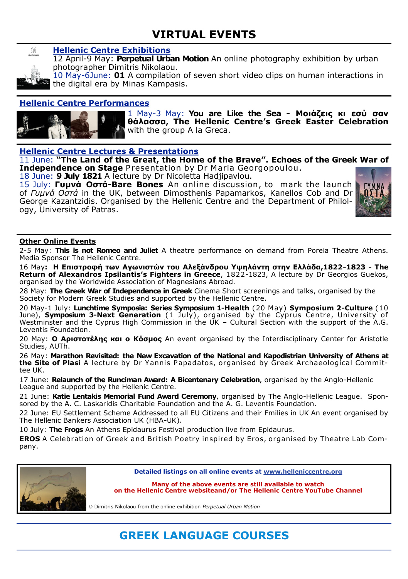## **VIRTUAL EVENTS**



### **Hellenic Centre Exhibitions**

12 April-9 May: **Perpetual Urban Motion** An [online photography exhibition](https://helleniccentre.org/virtual-events/exhibitions/perpetual-urban-motion/) by urban photographer Dimitris Nikolaou.

10 May-6June: **01** A compilation of seven short video clips on human interactions in the digital era by Minas Kampasis.

### **Hellenic Centre Performances**



1 May-3 May: **You are Like the Sea - Μοιάζεις κι εσύ σαν θάλασσα, The Hellenic Centre's Greek Easter Celebration**  with the group A la Greca.

**Hellenic Centre Lectures & Presentations**

11 June: **"The Land of the Great, the Home of the Brave". Echoes of the Greek War of Independence on Stage** Presentation by Dr Maria Georgopoulou.

18 June: **9 July 1821** A lecture by Dr Nicoletta Hadjipavlou.

15 July: **Γυμνά Οστά-Bare Bones** An online discussion, to mark the launch of *Γυμνά Οστά* in the UK, between Dimosthenis Papamarkos, Kanellos Cob and Dr George Kazantzidis. Organised by the Hellenic Centre and the Department of Philology, University of Patras.



#### **Other Online Events**

2-5 May: **This is not Romeo and Juliet** A theatre performance on demand from Poreia Theatre Athens. Media Sponsor The Hellenic Centre.

16 May**: Η Επιστροφή των Αγωνιστών του Αλεξάνδρου Υψηλάντη στην Ελλάδα,1822-1823 - The Return of Alexandros Ipsilantis's Fighters in Greece**, 1822-1823, A lecture by Dr Georgios Guekos, organised by the Worldwide Association of Magnesians Abroad.

28 May: **The Greek War of Independence in Greek** Cinema Short screenings and talks, organised by the Society for Modern Greek Studies and supported by the Hellenic Centre.

20 May-1 July: **Lunchtime Symposia: Series Symposium 1-Health** (20 May) **Symposium 2-Culture** (10 June), **Symposium 3-Next Generation** (1 July) , organised by the Cyprus Centre, University of Westminster and the Cyprus High Commission in the UK – Cultural Section with the support of the A.G. Leventis Foundation.

20 May: **Ο Αριστοτέλης και ο Κόσμος** An event organised by the Interdisciplinary Center for Aristotle Studies, AUTh.

26 May: **Marathon Revisited: the New Excavation of the National and Kapodistrian University of Athens at the Site of Plasi** A lecture by Dr Yannis Papadatos, organised by Greek Archaeological Committee UK.

17 June: **Relaunch of the Runciman Award: A Bicentenary Celebration**, organised by the Anglo-Hellenic League and supported by the Hellenic Centre.

21 June: **Katie Lentakis Memorial Fund Award Ceremony**, organised by The Anglo-Hellenic League. Sponsored by the A. C. Laskaridis Charitable Foundation and the A. G. Leventis Foundation.

22 June: EU Settlement Scheme Addressed to all EU Citizens and their Fmilies in UK An event organised by The Hellenic Bankers Association UK (HBA-UK).

10 July: **The Frogs** An Athens Epidaurus Festival production live from Epidaurus.

**EROS** A Celebration of Greek and British Poetry inspired by Eros, organised by Theatre Lab Company.



**Detailed listings on all online events at www.helleniccentre.org**

**Many of the above events are still available to watch on the Hellenic Centre websiteand/or The Hellenic Centre YouTube Channel**

© Dimitris Nikolaou from the online exhibition *Perpetual Urban Motion*

# **GREEK LANGUAGE COURSES**